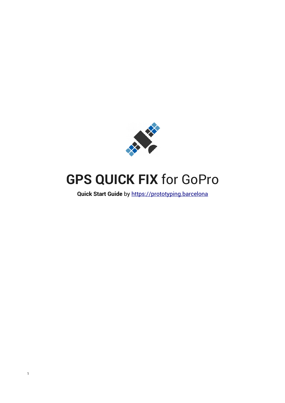

# **GPS QUICK FIX** for GoPro

**Quick Start Guide** by [https://prototyping.barcelona](https://prototyping.barcelona/)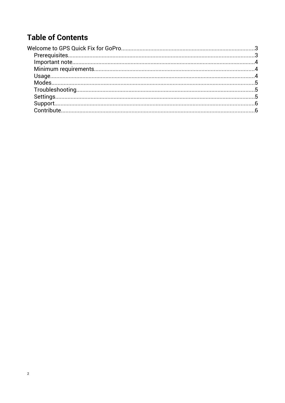# **Table of Contents**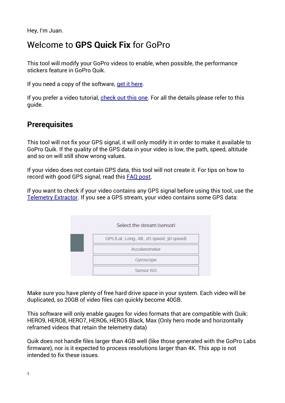Hey, I'm Juan.

# <span id="page-2-1"></span>Welcome to **GPS Quick Fix** for GoPro

This tool will modify your GoPro videos to enable, when possible, the performance stickers feature in GoPro Quik.

If you need a copy of the software, [get it here.](https://goprotelemetryextractor.com/#fix)

If you prefer a video tutorial, [check out this one.](https://youtu.be/nY4LfVFViT0) For all the details please refer to this guide.

#### <span id="page-2-0"></span>**Prerequisites**

This tool will not fix your GPS signal, it will only modify it in order to make it available to GoPro Quik. If the quality of the GPS data in your video is low, the path, speed, altitude and so on will still show wrong values.

If your video does not contain GPS data, this tool will not create it. For tips on how to record with good GPS signal, read this [FAQ post.](https://community.gopro.com/t5/GoPro-Metadata-Visualization-GPS/GoPro-GPS-not-working-Performance-stickers-and-telemetry-FAQ/gpm-p/419554#M320)

If you want to check if your video contains any GPS signal before using this tool, use the [Telemetry Extractor.](https://goprotelemetryextractor.com/free) If you see a GPS stream, your video contains some GPS data:



Make sure you have plenty of free hard drive space in your system. Each video will be duplicated, so 20GB of video files can quickly become 40GB.

This software will only enable gauges for video formats that are compatible with Quik: HERO9, HERO8, HERO7, HERO6, HERO5 Black, Max (Only hero mode and horizontally reframed videos that retain the telemetry data)

Quik does not handle files larger than 4GB well (like those generated with the GoPro Labs firmware), nor is it expected to process resolutions larger than 4K. This app is not intended to fix these issues.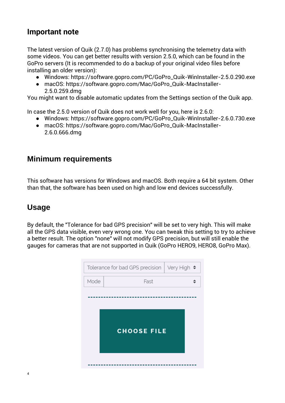#### <span id="page-3-2"></span>**Important note**

The latest version of Quik (2.7.0) has problems synchronising the telemetry data with some videos. You can get better results with version 2.5.0, which can be found in the GoPro servers (It is recommended to do a backup of your original video files before installing an older version):

- Windows: https://software.gopro.com/PC/GoPro\_Quik-WinInstaller-2.5.0.290.exe
- macOS: https://software.gopro.com/Mac/GoPro\_Quik-MacInstaller-2.5.0.259.dmg

You might want to disable automatic updates from the Settings section of the Quik app.

In case the 2.5.0 version of Quik does not work well for you, here is 2.6.0:

- Windows: https://software.gopro.com/PC/GoPro\_Quik-WinInstaller-2.6.0.730.exe
- macOS: https://software.gopro.com/Mac/GoPro\_Quik-MacInstaller-2.6.0.666.dmg

#### <span id="page-3-1"></span>**Minimum requirements**

This software has versions for Windows and macOS. Both require a 64 bit system. Other than that, the software has been used on high and low end devices successfully.

#### <span id="page-3-0"></span>**Usage**

By default, the "Tolerance for bad GPS precision" will be set to very high. This will make all the GPS data visible, even very wrong one. You can tweak this setting to try to achieve a better result. The option "none" will not modify GPS precision, but will still enable the gauges for cameras that are not supported in Quik (GoPro HERO9, HERO8, GoPro Max).

|                    | Tolerance for bad GPS precision   Very High ♦ |  |  |  |  |
|--------------------|-----------------------------------------------|--|--|--|--|
| Mode               | Fast                                          |  |  |  |  |
|                    |                                               |  |  |  |  |
|                    |                                               |  |  |  |  |
|                    |                                               |  |  |  |  |
| <b>CHOOSE FILE</b> |                                               |  |  |  |  |
|                    |                                               |  |  |  |  |
|                    |                                               |  |  |  |  |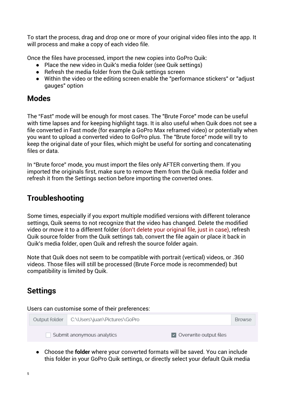To start the process, drag and drop one or more of your original video files into the app. It will process and make a copy of each video file.

Once the files have processed, import the new copies into GoPro Quik:

- Place the new video in Quik's media folder (see Quik settings)
- Refresh the media folder from the Quik settings screen
- Within the video or the editing screen enable the "performance stickers" or "adjust gauges" option

#### <span id="page-4-2"></span>**Modes**

The "Fast" mode will be enough for most cases. The "Brute Force" mode can be useful with time lapses and for keeping highlight tags. It is also useful when Quik does not see a file converted in Fast mode (for example a GoPro Max reframed video) or potentially when you want to upload a converted video to GoPro plus. The "Brute force" mode will try to keep the original date of your files, which might be useful for sorting and concatenating files or data.

In "Brute force" mode, you must import the files only AFTER converting them. If you imported the originals first, make sure to remove them from the Quik media folder and refresh it from the Settings section before importing the converted ones.

## <span id="page-4-1"></span>**Troubleshooting**

Some times, especially if you export multiple modified versions with different tolerance settings, Quik seems to not recognize that the video has changed. Delete the modified video or move it to a different folder (don't delete your original file, just in case), refresh Quik source folder from the Quik settings tab, convert the file again or place it back in Quik's media folder, open Quik and refresh the source folder again.

Note that Quik does not seem to be compatible with portrait (vertical) videos, or .360 videos. Those files will still be processed (Brute Force mode is recommended) but compatibility is limited by Quik.

## <span id="page-4-0"></span>**Settings**

Users can customise some of their preferences:

| Output folder C:\Users\juan\Pictures\GoPro |                                         | <b>Browse</b> |
|--------------------------------------------|-----------------------------------------|---------------|
| Submit anonymous analytics                 | $\triangleright$ Overwrite output files |               |

● Choose the **folder** where your converted formats will be saved. You can include this folder in your GoPro Quik settings, or directly select your default Quik media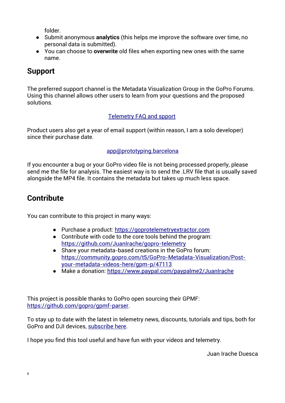folder.

- Submit anonymous **analytics** (this helps me improve the software over time, no personal data is submitted).
- You can choose to **overwrite** old files when exporting new ones with the same name.

# <span id="page-5-1"></span>**Support**

The preferred support channel is the Metadata Visualization Group in the GoPro Forums. Using this channel allows other users to learn from your questions and the proposed solutions.

#### [Telemetry FAQ and spport](https://community.gopro.com/t5/GoPro-Metadata-Visualization/GoPro-GPS-not-working-Performance-stickers-and-telemetry-FAQ/gpm-p/419554)

Product users also get a year of email support (within reason, I am a solo developer) since their purchase date.

#### [app@prototyping.barcelona](mailto:app@prototyping.barcelona)

If you encounter a bug or your GoPro video file is not being processed properly, please send me the file for analysis. The easiest way is to send the .LRV file that is usually saved alongside the MP4 file. It contains the metadata but takes up much less space.

## <span id="page-5-0"></span>**Contribute**

You can contribute to this project in many ways:

- Purchase a product: [https://goprotelemetryextractor.com](https://goprotelemetryextractor.com/)
- Contribute with code to the core tools behind the program: <https://github.com/JuanIrache/gopro-telemetry>
- Share your metadata-based creations in the GoPro forum: [https://community.gopro.com/t5/GoPro-Metadata-Visualization/Post](https://community.gopro.com/t5/GoPro-Metadata-Visualization/Post-your-metadata-videos-here/gpm-p/47113)[your-metadata-videos-here/gpm-p/47113](https://community.gopro.com/t5/GoPro-Metadata-Visualization/Post-your-metadata-videos-here/gpm-p/47113)
- Make a donation:<https://www.paypal.com/paypalme2/JuanIrache>

This project is possible thanks to GoPro open sourcing their GPMF:  [https://github.com/gopro/gpmf-parser.](https://github.com/gopro/gpmf-parser)

To stay up to date with the latest in telemetry news, discounts, tutorials and tips, both for GoPro and DJI devices, [subscribe here.](http://eepurl.com/gVml41)

I hope you find this tool useful and have fun with your videos and telemetry.

Juan Irache Duesca